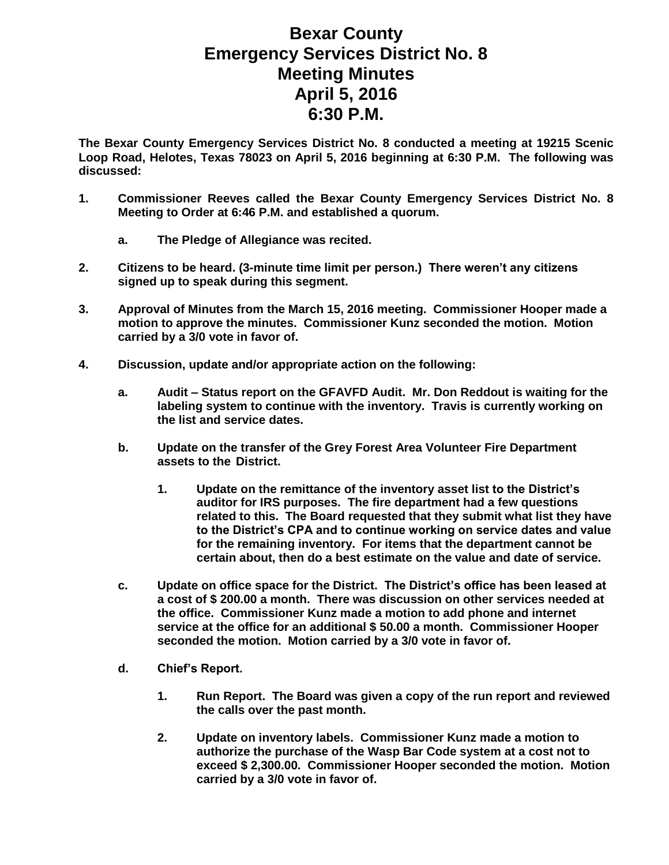## **Bexar County Emergency Services District No. 8 Meeting Minutes April 5, 2016 6:30 P.M.**

**The Bexar County Emergency Services District No. 8 conducted a meeting at 19215 Scenic Loop Road, Helotes, Texas 78023 on April 5, 2016 beginning at 6:30 P.M. The following was discussed:**

- **1. Commissioner Reeves called the Bexar County Emergency Services District No. 8 Meeting to Order at 6:46 P.M. and established a quorum.** 
	- **a. The Pledge of Allegiance was recited.**
- **2. Citizens to be heard. (3-minute time limit per person.) There weren't any citizens signed up to speak during this segment.**
- **3. Approval of Minutes from the March 15, 2016 meeting. Commissioner Hooper made a motion to approve the minutes. Commissioner Kunz seconded the motion. Motion carried by a 3/0 vote in favor of.**
- **4. Discussion, update and/or appropriate action on the following:**
	- **a. Audit – Status report on the GFAVFD Audit. Mr. Don Reddout is waiting for the labeling system to continue with the inventory. Travis is currently working on the list and service dates.**
	- **b. Update on the transfer of the Grey Forest Area Volunteer Fire Department assets to the District.** 
		- **1. Update on the remittance of the inventory asset list to the District's auditor for IRS purposes. The fire department had a few questions related to this. The Board requested that they submit what list they have to the District's CPA and to continue working on service dates and value for the remaining inventory. For items that the department cannot be certain about, then do a best estimate on the value and date of service.**
	- **c. Update on office space for the District. The District's office has been leased at a cost of \$ 200.00 a month. There was discussion on other services needed at the office. Commissioner Kunz made a motion to add phone and internet service at the office for an additional \$ 50.00 a month. Commissioner Hooper seconded the motion. Motion carried by a 3/0 vote in favor of.**
	- **d. Chief's Report.**
		- **1. Run Report. The Board was given a copy of the run report and reviewed the calls over the past month.**
		- **2. Update on inventory labels. Commissioner Kunz made a motion to authorize the purchase of the Wasp Bar Code system at a cost not to exceed \$ 2,300.00. Commissioner Hooper seconded the motion. Motion carried by a 3/0 vote in favor of.**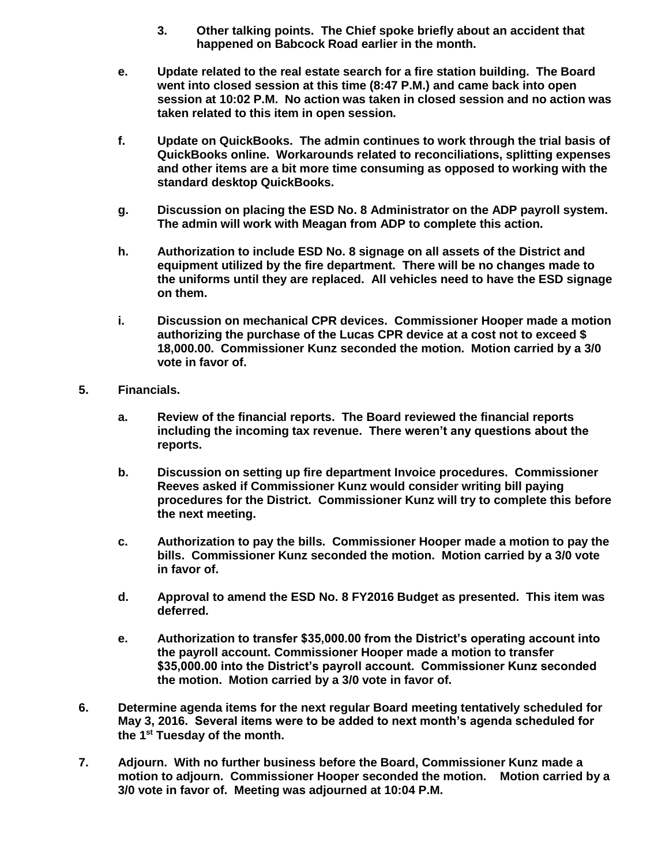- **3. Other talking points. The Chief spoke briefly about an accident that happened on Babcock Road earlier in the month.**
- **e. Update related to the real estate search for a fire station building. The Board went into closed session at this time (8:47 P.M.) and came back into open session at 10:02 P.M. No action was taken in closed session and no action was taken related to this item in open session.**
- **f. Update on QuickBooks. The admin continues to work through the trial basis of QuickBooks online. Workarounds related to reconciliations, splitting expenses and other items are a bit more time consuming as opposed to working with the standard desktop QuickBooks.**
- **g. Discussion on placing the ESD No. 8 Administrator on the ADP payroll system. The admin will work with Meagan from ADP to complete this action.**
- **h. Authorization to include ESD No. 8 signage on all assets of the District and equipment utilized by the fire department. There will be no changes made to the uniforms until they are replaced. All vehicles need to have the ESD signage on them.**
- **i. Discussion on mechanical CPR devices. Commissioner Hooper made a motion authorizing the purchase of the Lucas CPR device at a cost not to exceed \$ 18,000.00. Commissioner Kunz seconded the motion. Motion carried by a 3/0 vote in favor of.**
- **5. Financials.**
	- **a. Review of the financial reports. The Board reviewed the financial reports including the incoming tax revenue. There weren't any questions about the reports.**
	- **b. Discussion on setting up fire department Invoice procedures. Commissioner Reeves asked if Commissioner Kunz would consider writing bill paying procedures for the District. Commissioner Kunz will try to complete this before the next meeting.**
	- **c. Authorization to pay the bills. Commissioner Hooper made a motion to pay the bills. Commissioner Kunz seconded the motion. Motion carried by a 3/0 vote in favor of.**
	- **d. Approval to amend the ESD No. 8 FY2016 Budget as presented. This item was deferred.**
	- **e. Authorization to transfer \$35,000.00 from the District's operating account into the payroll account. Commissioner Hooper made a motion to transfer \$35,000.00 into the District's payroll account. Commissioner Kunz seconded the motion. Motion carried by a 3/0 vote in favor of.**
- **6. Determine agenda items for the next regular Board meeting tentatively scheduled for May 3, 2016. Several items were to be added to next month's agenda scheduled for the 1st Tuesday of the month.**
- **7. Adjourn. With no further business before the Board, Commissioner Kunz made a motion to adjourn. Commissioner Hooper seconded the motion. Motion carried by a 3/0 vote in favor of. Meeting was adjourned at 10:04 P.M.**